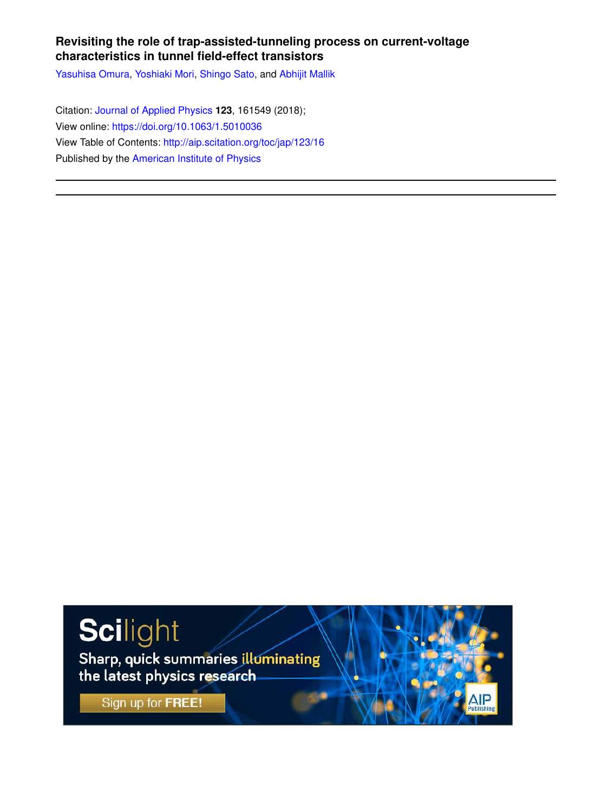# **Revisiting the role of trap-assisted-tunneling process on current-voltage characteristics in tunnel field-effect transistors**

Yasuhisa Omura, Yoshiaki Mori, Shingo Sato, and Abhijit Mallik

Citation: Journal of Applied Physics **123**, 161549 (2018); View online: https://doi.org/10.1063/1.5010036 View Table of Contents: http://aip.scitation.org/toc/jap/123/16 Published by the American Institute of Physics

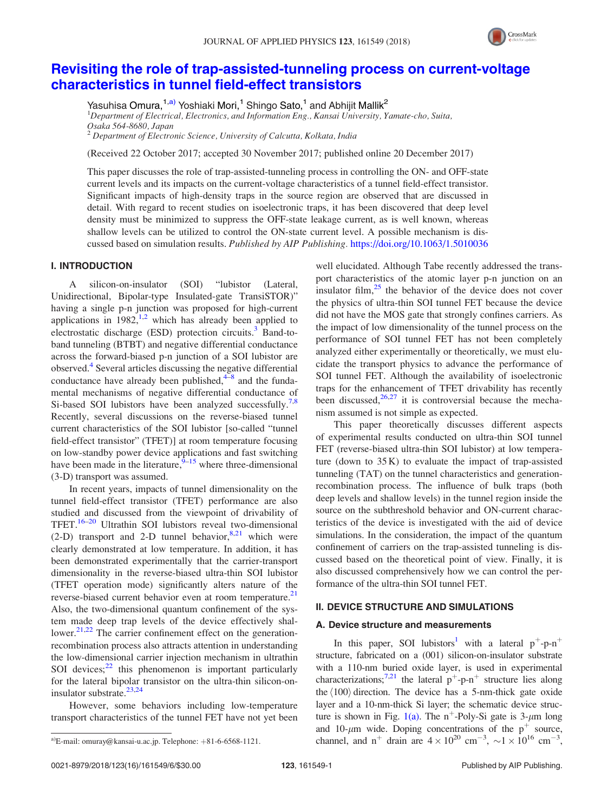

# Revisiting the role of trap-assisted-tunneling process on current-voltage characteristics in tunnel field-effect transistors

Yasuhisa Omura,<sup>1,a)</sup> Yoshiaki Mori,<sup>1</sup> Shingo Sato,<sup>1</sup> and Abhijit Mallik<sup>2</sup>

<sup>1</sup>Department of Electrical, Electronics, and Information Eng., Kansai University, Yamate-cho, Suita,  $\frac{0.1}{0.08}$ Osaka 564-8680, Japan

<sup>2</sup> Department of Electronic Science, University of Calcutta, Kolkata, India

(Received 22 October 2017; accepted 30 November 2017; published online 20 December 2017)

This paper discusses the role of trap-assisted-tunneling process in controlling the ON- and OFF-state current levels and its impacts on the current-voltage characteristics of a tunnel field-effect transistor. Significant impacts of high-density traps in the source region are observed that are discussed in detail. With regard to recent studies on isoelectronic traps, it has been discovered that deep level density must be minimized to suppress the OFF-state leakage current, as is well known, whereas shallow levels can be utilized to control the ON-state current level. A possible mechanism is discussed based on simulation results. Published by AIP Publishing. https://doi.org/10.1063/1.5010036

## I. INTRODUCTION

A silicon-on-insulator (SOI) "lubistor (Lateral, Unidirectional, Bipolar-type Insulated-gate TransiSTOR)" having a single p-n junction was proposed for high-current applications in  $1982$ ,<sup>1,2</sup> which has already been applied to electrostatic discharge (ESD) protection circuits.<sup>3</sup> Band-toband tunneling (BTBT) and negative differential conductance across the forward-biased p-n junction of a SOI lubistor are observed.<sup>4</sup> Several articles discussing the negative differential conductance have already been published, $4\overline{8}$  and the fundamental mechanisms of negative differential conductance of Si-based SOI lubistors have been analyzed successfully.<sup>7,8</sup> Recently, several discussions on the reverse-biased tunnel current characteristics of the SOI lubistor [so-called "tunnel field-effect transistor" (TFET)] at room temperature focusing on low-standby power device applications and fast switching have been made in the literature,  $9-15$  where three-dimensional (3-D) transport was assumed.

In recent years, impacts of tunnel dimensionality on the tunnel field-effect transistor (TFET) performance are also studied and discussed from the viewpoint of drivability of TFET.<sup>16–20</sup> Ultrathin SOI lubistors reveal two-dimensional (2-D) transport and 2-D tunnel behavior, $8,21$  which were clearly demonstrated at low temperature. In addition, it has been demonstrated experimentally that the carrier-transport dimensionality in the reverse-biased ultra-thin SOI lubistor (TFET operation mode) significantly alters nature of the reverse-biased current behavior even at room temperature.<sup>21</sup> Also, the two-dimensional quantum confinement of the system made deep trap levels of the device effectively shallower.<sup>21,22</sup> The carrier confinement effect on the generationrecombination process also attracts attention in understanding the low-dimensional carrier injection mechanism in ultrathin SOI devices; $2^2$  this phenomenon is important particularly for the lateral bipolar transistor on the ultra-thin silicon-oninsulator substrate.<sup>23,24</sup>

However, some behaviors including low-temperature transport characteristics of the tunnel FET have not yet been well elucidated. Although Tabe recently addressed the transport characteristics of the atomic layer p-n junction on an insulator film, $^{25}$  the behavior of the device does not cover the physics of ultra-thin SOI tunnel FET because the device did not have the MOS gate that strongly confines carriers. As the impact of low dimensionality of the tunnel process on the performance of SOI tunnel FET has not been completely analyzed either experimentally or theoretically, we must elucidate the transport physics to advance the performance of SOI tunnel FET. Although the availability of isoelectronic traps for the enhancement of TFET drivability has recently been discussed, $26,27$  it is controversial because the mechanism assumed is not simple as expected.

This paper theoretically discusses different aspects of experimental results conducted on ultra-thin SOI tunnel FET (reverse-biased ultra-thin SOI lubistor) at low temperature (down to 35 K) to evaluate the impact of trap-assisted tunneling (TAT) on the tunnel characteristics and generationrecombination process. The influence of bulk traps (both deep levels and shallow levels) in the tunnel region inside the source on the subthreshold behavior and ON-current characteristics of the device is investigated with the aid of device simulations. In the consideration, the impact of the quantum confinement of carriers on the trap-assisted tunneling is discussed based on the theoretical point of view. Finally, it is also discussed comprehensively how we can control the performance of the ultra-thin SOI tunnel FET.

#### II. DEVICE STRUCTURE AND SIMULATIONS

#### A. Device structure and measurements

In this paper, SOI lubistors<sup>1</sup> with a lateral  $p^+$ -p-n<sup>+</sup> structure, fabricated on a (001) silicon-on-insulator substrate with a 110-nm buried oxide layer, is used in experimental characterizations;<sup>7,21</sup> the lateral  $p^+$ -p-n<sup>+</sup> structure lies along the  $\langle 100 \rangle$  direction. The device has a 5-nm-thick gate oxide layer and a 10-nm-thick Si layer; the schematic device structure is shown in Fig. 1(a). The  $n^+$ -Poly-Si gate is 3- $\mu$ m long and 10- $\mu$ m wide. Doping concentrations of the p<sup>+</sup> source, channel, and n<sup>+</sup> drain are  $4 \times 10^{20}$  cm<sup>-3</sup>,  $\sim 1 \times 10^{16}$  cm<sup>-3</sup>,

<sup>&</sup>lt;sup>a)</sup>E-mail: omuray@kansai-u.ac.jp. Telephone:  $+81-6-6568-1121$ .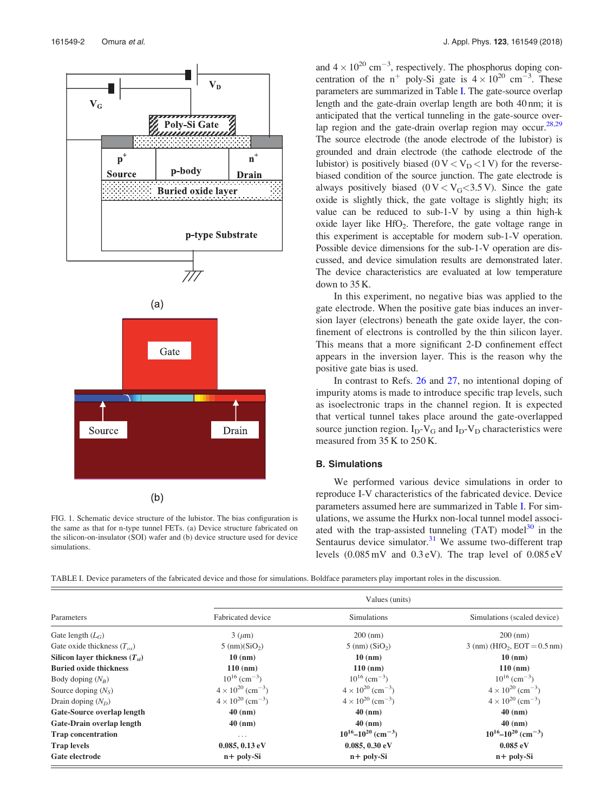

FIG. 1. Schematic device structure of the lubistor. The bias configuration is the same as that for n-type tunnel FETs. (a) Device structure fabricated on the silicon-on-insulator (SOI) wafer and (b) device structure used for device simulations.

and  $4 \times 10^{20}$  cm<sup>-3</sup>, respectively. The phosphorus doping concentration of the n<sup>+</sup> poly-Si gate is  $4 \times 10^{20}$  cm<sup>-3</sup>. These parameters are summarized in Table I. The gate-source overlap length and the gate-drain overlap length are both 40 nm; it is anticipated that the vertical tunneling in the gate-source overlap region and the gate-drain overlap region may occur.<sup>28,29</sup> The source electrode (the anode electrode of the lubistor) is grounded and drain electrode (the cathode electrode of the lubistor) is positively biased ( $0 \text{ V} < V<sub>D</sub> < 1 \text{ V}$ ) for the reversebiased condition of the source junction. The gate electrode is always positively biased ( $0 \text{ V} < V<sub>G</sub> < 3.5 \text{ V}$ ). Since the gate oxide is slightly thick, the gate voltage is slightly high; its value can be reduced to sub-1-V by using a thin high-k oxide layer like  $HfO<sub>2</sub>$ . Therefore, the gate voltage range in this experiment is acceptable for modern sub-1-V operation. Possible device dimensions for the sub-1-V operation are discussed, and device simulation results are demonstrated later. The device characteristics are evaluated at low temperature down to 35 K.

In this experiment, no negative bias was applied to the gate electrode. When the positive gate bias induces an inversion layer (electrons) beneath the gate oxide layer, the confinement of electrons is controlled by the thin silicon layer. This means that a more significant 2-D confinement effect appears in the inversion layer. This is the reason why the positive gate bias is used.

In contrast to Refs. 26 and 27, no intentional doping of impurity atoms is made to introduce specific trap levels, such as isoelectronic traps in the channel region. It is expected that vertical tunnel takes place around the gate-overlapped source junction region.  $I_D-V_G$  and  $I_D-V_D$  characteristics were measured from 35 K to 250 K.

### B. Simulations

We performed various device simulations in order to reproduce I-V characteristics of the fabricated device. Device parameters assumed here are summarized in Table I. For simulations, we assume the Hurkx non-local tunnel model associated with the trap-assisted tunneling  $(TAT)$  model<sup>30</sup> in the Sentaurus device simulator. $31$  We assume two-different trap levels (0.085 mV and 0.3 eV). The trap level of 0.085 eV

TABLE I. Device parameters of the fabricated device and those for simulations. Boldface parameters play important roles in the discussion.

| Parameters                         | Values (units)                            |                                         |                                               |
|------------------------------------|-------------------------------------------|-----------------------------------------|-----------------------------------------------|
|                                    | Fabricated device                         | <b>Simulations</b>                      | Simulations (scaled device)                   |
| Gate length $(L_G)$                | $3 \ (\mu m)$                             | 200 (nm)                                | $200$ (nm)                                    |
| Gate oxide thickness $(T_{ox})$    | $5 \text{ (nm)}\left(\text{SiO}_2\right)$ | $5 \text{ (nm) (SiO2)}$                 | $3 \text{ (nm)} (HfO2, EOT = 0.5 \text{ nm})$ |
| Silicon layer thickness $(T_{si})$ | $10 \text{ (nm)}$                         | $10 \text{ (nm)}$                       | $10$ (nm)                                     |
| <b>Buried oxide thickness</b>      | $110$ (nm)                                | $110$ (nm)                              | $110$ (nm)                                    |
| Body doping $(N_R)$                | $10^{16}$ (cm <sup>-3</sup> )             | $10^{16}$ (cm <sup>-3</sup> )           | $10^{16}$ (cm <sup>-3</sup> )                 |
| Source doping $(NS)$               | $4 \times 10^{20}$ (cm <sup>-3</sup> )    | $4 \times 10^{20}$ (cm <sup>-3</sup> )  | $4 \times 10^{20}$ (cm <sup>-3</sup> )        |
| Drain doping $(N_D)$               | $4 \times 10^{20}$ (cm <sup>-3</sup> )    | $4 \times 10^{20}$ (cm <sup>-3</sup> )  | $4 \times 10^{20}$ (cm <sup>-3</sup> )        |
| Gate-Source overlap length         | $40$ (nm)                                 | $40$ (nm)                               | $40$ (nm)                                     |
| Gate-Drain overlap length          | $40$ (nm)                                 | $40$ (nm)                               | $40$ (nm)                                     |
| <b>Trap concentration</b>          | $\cdots$                                  | $10^{16} - 10^{20}$ (cm <sup>-3</sup> ) | $10^{16} - 10^{20}$ (cm <sup>-3</sup> )       |
| <b>Trap levels</b>                 | $0.085, 0.13$ eV                          | $0.085, 0.30 \text{ eV}$                | $0.085$ eV                                    |
| Gate electrode                     | $n + poly-Si$                             | $n + poly-Si$                           | $n + poly-Si$                                 |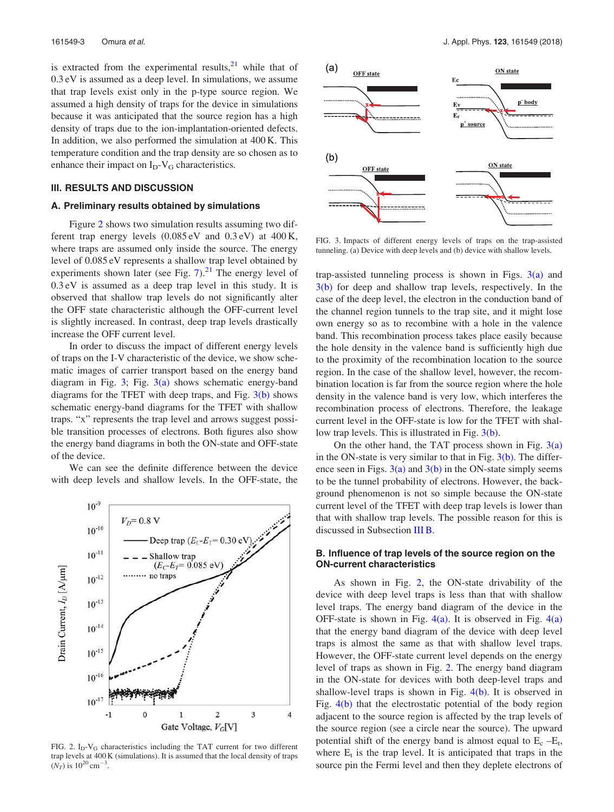is extracted from the experimental results, $21$  while that of 0.3 eV is assumed as a deep level. In simulations, we assume that trap levels exist only in the p-type source region. We assumed a high density of traps for the device in simulations because it was anticipated that the source region has a high density of traps due to the ion-implantation-oriented defects. In addition, we also performed the simulation at 400 K. This temperature condition and the trap density are so chosen as to enhance their impact on  $I_D-V_G$  characteristics.

## III. RESULTS AND DISCUSSION

#### A. Preliminary results obtained by simulations

Figure 2 shows two simulation results assuming two different trap energy levels  $(0.085 \text{ eV}$  and  $0.3 \text{ eV})$  at  $400 \text{ K}$ , where traps are assumed only inside the source. The energy level of 0.085 eV represents a shallow trap level obtained by experiments shown later (see Fig. 7).<sup>21</sup> The energy level of 0.3 eV is assumed as a deep trap level in this study. It is observed that shallow trap levels do not significantly alter the OFF state characteristic although the OFF-current level is slightly increased. In contrast, deep trap levels drastically increase the OFF current level.

In order to discuss the impact of different energy levels of traps on the I-V characteristic of the device, we show schematic images of carrier transport based on the energy band diagram in Fig. 3; Fig.  $3(a)$  shows schematic energy-band diagrams for the TFET with deep traps, and Fig.  $3(b)$  shows schematic energy-band diagrams for the TFET with shallow traps. "x" represents the trap level and arrows suggest possible transition processes of electrons. Both figures also show the energy band diagrams in both the ON-state and OFF-state of the device.

We can see the definite difference between the device with deep levels and shallow levels. In the OFF-state, the



FIG. 2.  $I_D-V_G$  characteristics including the TAT current for two different trap levels at 400 K (simulations). It is assumed that the local density of traps  $(N_T)$  is  $10^{20}$  cm<sup>-3</sup>.



FIG. 3. Impacts of different energy levels of traps on the trap-assisted tunneling. (a) Device with deep levels and (b) device with shallow levels.

trap-assisted tunneling process is shown in Figs.  $3(a)$  and 3(b) for deep and shallow trap levels, respectively. In the case of the deep level, the electron in the conduction band of the channel region tunnels to the trap site, and it might lose own energy so as to recombine with a hole in the valence band. This recombination process takes place easily because the hole density in the valence band is sufficiently high due to the proximity of the recombination location to the source region. In the case of the shallow level, however, the recombination location is far from the source region where the hole density in the valence band is very low, which interferes the recombination process of electrons. Therefore, the leakage current level in the OFF-state is low for the TFET with shallow trap levels. This is illustrated in Fig. 3(b).

On the other hand, the TAT process shown in Fig.  $3(a)$ in the ON-state is very similar to that in Fig.  $3(b)$ . The difference seen in Figs.  $3(a)$  and  $3(b)$  in the ON-state simply seems to be the tunnel probability of electrons. However, the background phenomenon is not so simple because the ON-state current level of the TFET with deep trap levels is lower than that with shallow trap levels. The possible reason for this is discussed in Subsection III B.

## B. Influence of trap levels of the source region on the ON-current characteristics

As shown in Fig. 2, the ON-state drivability of the device with deep level traps is less than that with shallow level traps. The energy band diagram of the device in the OFF-state is shown in Fig.  $4(a)$ . It is observed in Fig.  $4(a)$ that the energy band diagram of the device with deep level traps is almost the same as that with shallow level traps. However, the OFF-state current level depends on the energy level of traps as shown in Fig. 2. The energy band diagram in the ON-state for devices with both deep-level traps and shallow-level traps is shown in Fig.  $4(b)$ . It is observed in Fig. 4(b) that the electrostatic potential of the body region adjacent to the source region is affected by the trap levels of the source region (see a circle near the source). The upward potential shift of the energy band is almost equal to  $E_c - E_t$ , where  $E_t$  is the trap level. It is anticipated that traps in the source pin the Fermi level and then they deplete electrons of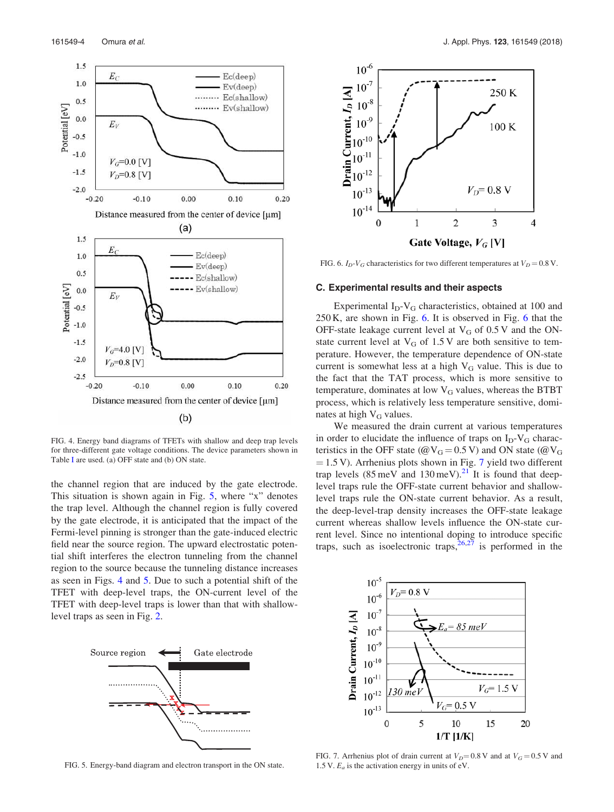

FIG. 4. Energy band diagrams of TFETs with shallow and deep trap levels for three-different gate voltage conditions. The device parameters shown in Table I are used. (a) OFF state and (b) ON state.

the channel region that are induced by the gate electrode. This situation is shown again in Fig. 5, where "x" denotes the trap level. Although the channel region is fully covered by the gate electrode, it is anticipated that the impact of the Fermi-level pinning is stronger than the gate-induced electric field near the source region. The upward electrostatic potential shift interferes the electron tunneling from the channel region to the source because the tunneling distance increases as seen in Figs. 4 and 5. Due to such a potential shift of the TFET with deep-level traps, the ON-current level of the TFET with deep-level traps is lower than that with shallowlevel traps as seen in Fig. 2.





FIG. 6.  $I_D$ - $V_G$  characteristics for two different temperatures at  $V_D$  = 0.8 V.

#### C. Experimental results and their aspects

Experimental  $I_D-V_G$  characteristics, obtained at 100 and 250 K, are shown in Fig. 6. It is observed in Fig. 6 that the OFF-state leakage current level at  $V_G$  of 0.5 V and the ONstate current level at  $V_G$  of 1.5 V are both sensitive to temperature. However, the temperature dependence of ON-state current is somewhat less at a high  $V_G$  value. This is due to the fact that the TAT process, which is more sensitive to temperature, dominates at low V<sub>G</sub> values, whereas the BTBT process, which is relatively less temperature sensitive, dominates at high  $V_G$  values.

We measured the drain current at various temperatures in order to elucidate the influence of traps on  $I_D-V_G$  characteristics in the OFF state ( $\omega V_G = 0.5 V$ ) and ON state ( $\omega V_G$  $= 1.5$  V). Arrhenius plots shown in Fig. 7 yield two different trap levels  $(85 \,\text{meV}$  and  $130 \,\text{meV}$ ).<sup>21</sup> It is found that deeplevel traps rule the OFF-state current behavior and shallowlevel traps rule the ON-state current behavior. As a result, the deep-level-trap density increases the OFF-state leakage current whereas shallow levels influence the ON-state current level. Since no intentional doping to introduce specific traps, such as isoelectronic traps,  $26.27$  is performed in the



FIG. 7. Arrhenius plot of drain current at  $V_D = 0.8$  V and at  $V_G = 0.5$  V and 1.5 V.  $E_a$  is the activation energy in units of eV.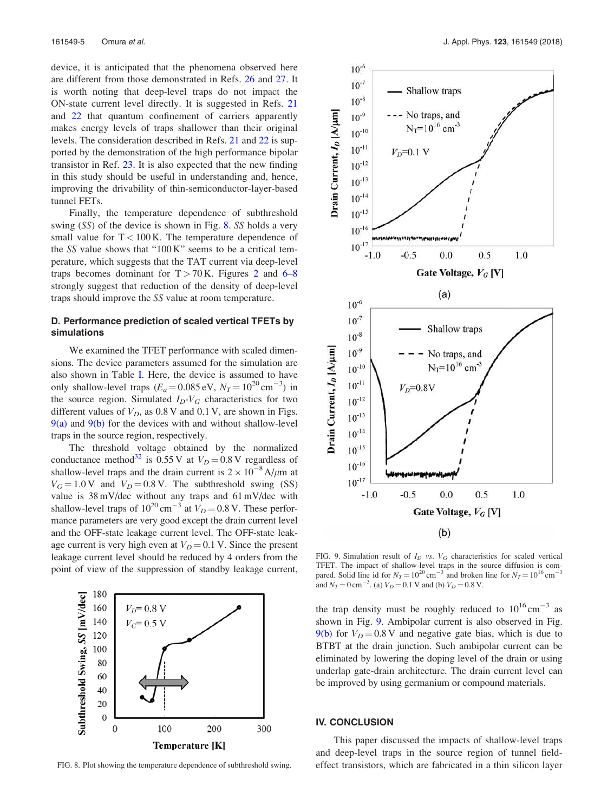device, it is anticipated that the phenomena observed here are different from those demonstrated in Refs. 26 and 27. It is worth noting that deep-level traps do not impact the ON-state current level directly. It is suggested in Refs. 21 and 22 that quantum confinement of carriers apparently makes energy levels of traps shallower than their original levels. The consideration described in Refs. 21 and 22 is supported by the demonstration of the high performance bipolar transistor in Ref. 23. It is also expected that the new finding in this study should be useful in understanding and, hence, improving the drivability of thin-semiconductor-layer-based tunnel FETs.

Finally, the temperature dependence of subthreshold swing  $(SS)$  of the device is shown in Fig. 8. SS holds a very small value for  $T < 100$  K. The temperature dependence of the SS value shows that "100 K" seems to be a critical temperature, which suggests that the TAT current via deep-level traps becomes dominant for  $T > 70$  K. Figures 2 and 6–8 strongly suggest that reduction of the density of deep-level traps should improve the SS value at room temperature.

### D. Performance prediction of scaled vertical TFETs by simulations

We examined the TFET performance with scaled dimensions. The device parameters assumed for the simulation are also shown in Table I. Here, the device is assumed to have only shallow-level traps  $(E_a = 0.085 \text{ eV}, N_T = 10^{20} \text{ cm}^{-3})$  in the source region. Simulated  $I_D-V_G$  characteristics for two different values of  $V_D$ , as 0.8 V and 0.1 V, are shown in Figs.  $9(a)$  and  $9(b)$  for the devices with and without shallow-level traps in the source region, respectively.

The threshold voltage obtained by the normalized conductance method<sup>32</sup> is 0.55 V at  $V_D$  = 0.8 V regardless of shallow-level traps and the drain current is  $2 \times 10^{-8}$  A/ $\mu$ m at  $V_G = 1.0 \text{ V}$  and  $V_D = 0.8 \text{ V}$ . The subthreshold swing (SS) value is 38 mV/dec without any traps and 61 mV/dec with shallow-level traps of  $10^{20}$  cm<sup>-3</sup> at  $V_D$  = 0.8 V. These performance parameters are very good except the drain current level and the OFF-state leakage current level. The OFF-state leakage current is very high even at  $V_D = 0.1$  V. Since the present leakage current level should be reduced by 4 orders from the point of view of the suppression of standby leakage current,





FIG. 9. Simulation result of  $I_D$  vs.  $V_G$  characteristics for scaled vertical TFET. The impact of shallow-level traps in the source diffusion is compared. Solid line id for  $N_T = 10^{20}$  cm<sup>-3</sup> and broken line for  $N_T = 10^{16}$  cm<sup>-3</sup> and  $N_T = 0 \text{ cm}^{-3}$ . (a)  $V_D = 0.1 \text{ V}$  and (b)  $V_D = 0.8 \text{ V}$ .

the trap density must be roughly reduced to  $10^{16}$  cm<sup>-3</sup> as shown in Fig. 9. Ambipolar current is also observed in Fig.  $9(b)$  for  $V_D = 0.8$  V and negative gate bias, which is due to BTBT at the drain junction. Such ambipolar current can be eliminated by lowering the doping level of the drain or using underlap gate-drain architecture. The drain current level can be improved by using germanium or compound materials.

#### IV. CONCLUSION

This paper discussed the impacts of shallow-level traps and deep-level traps in the source region of tunnel field-FIG. 8. Plot showing the temperature dependence of subthreshold swing. effect transistors, which are fabricated in a thin silicon layer